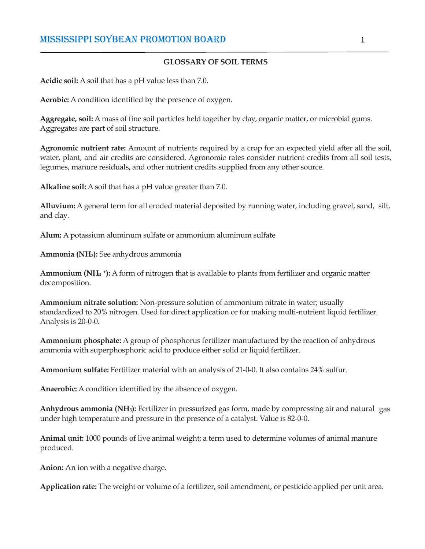#### **GLOSSARY OF SOIL TERMS**

**Acidic soil:** A soil that has a pH value less than 7.0.

**Aerobic:** A condition identified by the presence of oxygen.

**Aggregate, soil:** A mass of fine soil particles held together by clay, organic matter, or microbial gums. Aggregates are part of soil structure.

**Agronomic nutrient rate:** Amount of nutrients required by a crop for an expected yield after all the soil, water, plant, and air credits are considered. Agronomic rates consider nutrient credits from all soil tests, legumes, manure residuals, and other nutrient credits supplied from any other source.

**Alkaline soil:** A soil that has a pH value greater than 7.0.

**Alluvium:** A general term for all eroded material deposited by running water, including gravel, sand, silt, and clay.

**Alum:** A potassium aluminum sulfate or ammonium aluminum sulfate

**Ammonia (NH3):** See anhydrous ammonia

**4 Ammonium (NH<sup>4</sup> + ):** A form of nitrogen that is available to plants from fertilizer and organic matter decomposition.

**Ammonium nitrate solution:** Non-pressure solution of ammonium nitrate in water; usually standardized to 20% nitrogen. Used for direct application or for making multi-nutrient liquid fertilizer. Analysis is 20-0-0.

**Ammonium phosphate:** A group of phosphorus fertilizer manufactured by the reaction of anhydrous ammonia with superphosphoric acid to produce either solid or liquid fertilizer.

**Ammonium sulfate:** Fertilizer material with an analysis of 21-0-0. It also contains 24% sulfur.

**Anaerobic:** A condition identified by the absence of oxygen.

**Anhydrous ammonia (NH3):** Fertilizer in pressurized gas form, made by compressing air and natural gas under high temperature and pressure in the presence of a catalyst. Value is 82-0-0.

**Animal unit:** 1000 pounds of live animal weight; a term used to determine volumes of animal manure produced.

**Anion:** An ion with a negative charge.

**Application rate:** The weight or volume of a fertilizer, soil amendment, or pesticide applied per unit area.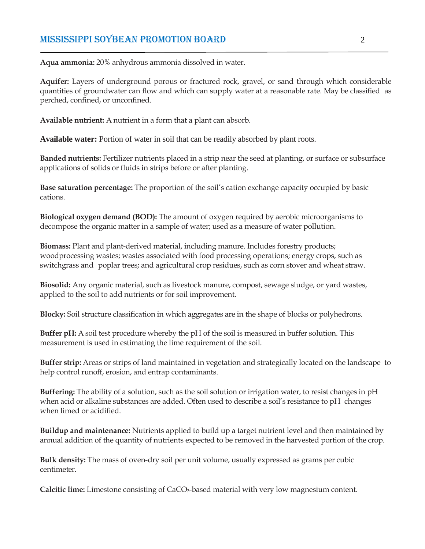**Aqua ammonia:** 20% anhydrous ammonia dissolved in water.

**Aquifer:** Layers of underground porous or fractured rock, gravel, or sand through which considerable quantities of groundwater can flow and which can supply water at a reasonable rate. May be classified as perched, confined, or unconfined.

**Available nutrient:** A nutrient in a form that a plant can absorb.

**Available water:** Portion of water in soil that can be readily absorbed by plant roots.

**Banded nutrients:** Fertilizer nutrients placed in a strip near the seed at planting, or surface or subsurface applications of solids or fluids in strips before or after planting.

**Base saturation percentage:** The proportion of the soil's cation exchange capacity occupied by basic cations.

**Biological oxygen demand (BOD):** The amount of oxygen required by aerobic microorganisms to decompose the organic matter in a sample of water; used as a measure of water pollution.

**Biomass:** Plant and plant-derived material, including manure. Includes forestry products; woodprocessing wastes; wastes associated with food processing operations; energy crops, such as switchgrass and poplar trees; and agricultural crop residues, such as corn stover and wheat straw.

**Biosolid:** Any organic material, such as livestock manure, compost, sewage sludge, or yard wastes, applied to the soil to add nutrients or for soil improvement.

**Blocky:** Soil structure classification in which aggregates are in the shape of blocks or polyhedrons.

**Buffer pH:** A soil test procedure whereby the pH of the soil is measured in buffer solution. This measurement is used in estimating the lime requirement of the soil.

**Buffer strip:** Areas or strips of land maintained in vegetation and strategically located on the landscape to help control runoff, erosion, and entrap contaminants.

**Buffering:** The ability of a solution, such as the soil solution or irrigation water, to resist changes in pH when acid or alkaline substances are added. Often used to describe a soil's resistance to pH changes when limed or acidified.

**Buildup and maintenance:** Nutrients applied to build up a target nutrient level and then maintained by annual addition of the quantity of nutrients expected to be removed in the harvested portion of the crop.

**Bulk density:** The mass of oven-dry soil per unit volume, usually expressed as grams per cubic centimeter.

**Calcitic lime:** Limestone consisting of CaCO3-based material with very low magnesium content.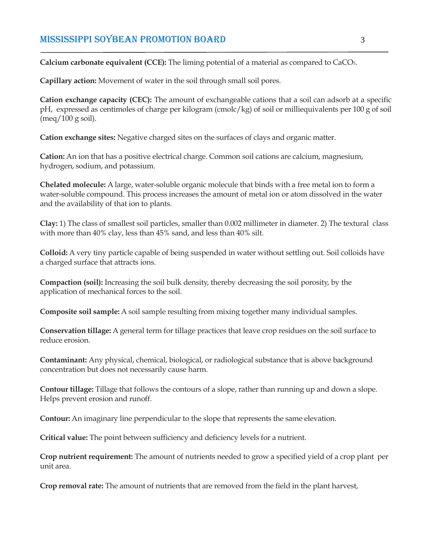**Calcium carbonate equivalent (CCE):** The liming potential of a material as compared to CaCO3.

**Capillary action:** Movement of water in the soil through small soil pores.

**Cation exchange capacity (CEC):** The amount of exchangeable cations that a soil can adsorb at a specific pH, expressed as centimoles of charge per kilogram (cmolc/kg) of soil or milliequivalents per 100 g of soil  $(meq/100 \text{ g soil}).$ 

**Cation exchange sites:** Negative charged sites on the surfaces of clays and organic matter.

**Cation:** An ion that has a positive electrical charge. Common soil cations are calcium, magnesium, hydrogen, sodium, and potassium.

**Chelated molecule:** A large, water-soluble organic molecule that binds with a free metal ion to form a water-soluble compound. This process increases the amount of metal ion or atom dissolved in the water and the availability of that ion to plants.

**Clay:** 1) The class of smallest soil particles, smaller than 0.002 millimeter in diameter. 2) The textural class with more than 40% clay, less than 45% sand, and less than 40% silt.

**Colloid:** A very tiny particle capable of being suspended in water without settling out. Soil colloids have a charged surface that attracts ions.

**Compaction (soil):** Increasing the soil bulk density, thereby decreasing the soil porosity, by the application of mechanical forces to the soil.

**Composite soil sample:** A soil sample resulting from mixing together many individual samples.

**Conservation tillage:** A general term for tillage practices that leave crop residues on the soil surface to reduce erosion.

**Contaminant:** Any physical, chemical, biological, or radiological substance that is above background concentration but does not necessarily cause harm.

**Contour tillage:** Tillage that follows the contours of a slope, rather than running up and down a slope. Helps prevent erosion and runoff.

**Contour:** An imaginary line perpendicular to the slope that represents the same elevation.

**Critical value:** The point between sufficiency and deficiency levels for a nutrient.

**Crop nutrient requirement:** The amount of nutrients needed to grow a specified yield of a crop plant per unit area.

**Crop removal rate:** The amount of nutrients that are removed from the field in the plant harvest,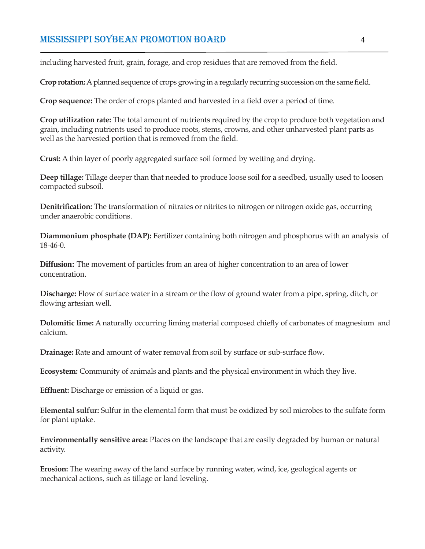including harvested fruit, grain, forage, and crop residues that are removed from the field.

**Crop rotation:** A planned sequence of crops growing in a regularly recurring succession on the same field.

**Crop sequence:** The order of crops planted and harvested in a field over a period of time.

**Crop utilization rate:** The total amount of nutrients required by the crop to produce both vegetation and grain, including nutrients used to produce roots, stems, crowns, and other unharvested plant parts as well as the harvested portion that is removed from the field.

**Crust:** A thin layer of poorly aggregated surface soil formed by wetting and drying.

**Deep tillage:** Tillage deeper than that needed to produce loose soil for a seedbed, usually used to loosen compacted subsoil.

**Denitrification:** The transformation of nitrates or nitrites to nitrogen or nitrogen oxide gas, occurring under anaerobic conditions.

**Diammonium phosphate (DAP):** Fertilizer containing both nitrogen and phosphorus with an analysis of 18-46-0.

**Diffusion:** The movement of particles from an area of higher concentration to an area of lower concentration.

**Discharge:** Flow of surface water in a stream or the flow of ground water from a pipe, spring, ditch, or flowing artesian well.

**Dolomitic lime:** A naturally occurring liming material composed chiefly of carbonates of magnesium and calcium.

**Drainage:** Rate and amount of water removal from soil by surface or sub-surface flow.

**Ecosystem:** Community of animals and plants and the physical environment in which they live.

**Effluent:** Discharge or emission of a liquid or gas.

**Elemental sulfur:** Sulfur in the elemental form that must be oxidized by soil microbes to the sulfate form for plant uptake.

**Environmentally sensitive area:** Places on the landscape that are easily degraded by human or natural activity.

**Erosion:** The wearing away of the land surface by running water, wind, ice, geological agents or mechanical actions, such as tillage or land leveling.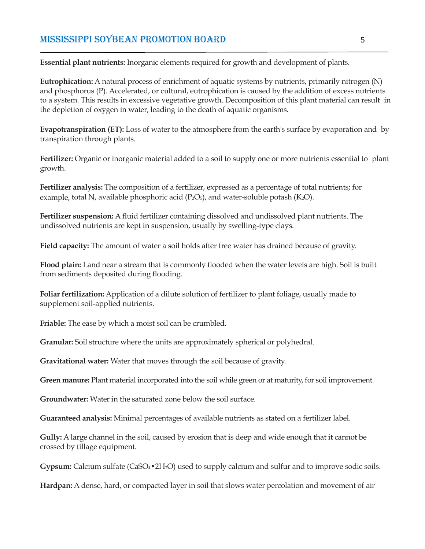**Essential plant nutrients:** Inorganic elements required for growth and development of plants.

**Eutrophication:** A natural process of enrichment of aquatic systems by nutrients, primarily nitrogen (N) and phosphorus (P). Accelerated, or cultural, eutrophication is caused by the addition of excess nutrients to a system. This results in excessive vegetative growth. Decomposition of this plant material can result in the depletion of oxygen in water, leading to the death of aquatic organisms.

**Evapotranspiration (ET):** Loss of water to the atmosphere from the earth's surface by evaporation and by transpiration through plants.

**Fertilizer:** Organic or inorganic material added to a soil to supply one or more nutrients essential to plant growth.

**Fertilizer analysis:** The composition of a fertilizer, expressed as a percentage of total nutrients; for example, total N, available phosphoric acid  $(P_2O_5)$ , and water-soluble potash (K<sub>2</sub>O).

**Fertilizer suspension:** A fluid fertilizer containing dissolved and undissolved plant nutrients. The undissolved nutrients are kept in suspension, usually by swelling-type clays.

**Field capacity:** The amount of water a soil holds after free water has drained because of gravity.

**Flood plain:** Land near a stream that is commonly flooded when the water levels are high. Soil is built from sediments deposited during flooding.

**Foliar fertilization:** Application of a dilute solution of fertilizer to plant foliage, usually made to supplement soil-applied nutrients.

**Friable:** The ease by which a moist soil can be crumbled.

**Granular:** Soil structure where the units are approximately spherical or polyhedral.

**Gravitational water:** Water that moves through the soil because of gravity.

**Green manure:** Plant material incorporated into the soil while green or at maturity, for soil improvement.

**Groundwater:** Water in the saturated zone below the soil surface.

**Guaranteed analysis:** Minimal percentages of available nutrients as stated on a fertilizer label.

**Gully:** A large channel in the soil, caused by erosion that is deep and wide enough that it cannot be crossed by tillage equipment.

**Gypsum:** Calcium sulfate (CaSO4•2H2O) used to supply calcium and sulfur and to improve sodic soils.

**Hardpan:** A dense, hard, or compacted layer in soil that slows water percolation and movement of air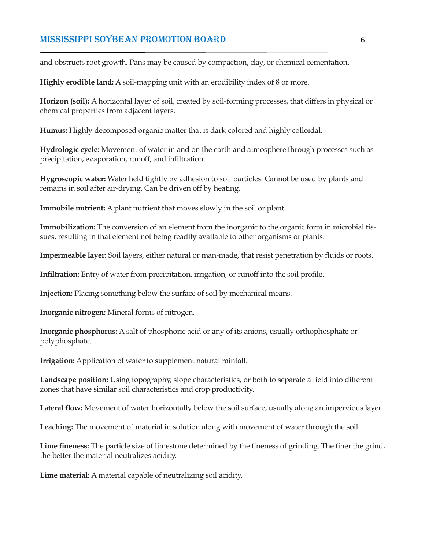and obstructs root growth. Pans may be caused by compaction, clay, or chemical cementation.

**Highly erodible land:** A soil-mapping unit with an erodibility index of 8 or more.

**Horizon (soil):** A horizontal layer of soil, created by soil-forming processes, that differs in physical or chemical properties from adjacent layers.

**Humus:** Highly decomposed organic matter that is dark-colored and highly colloidal.

**Hydrologic cycle:** Movement of water in and on the earth and atmosphere through processes such as precipitation, evaporation, runoff, and infiltration.

**Hygroscopic water:** Water held tightly by adhesion to soil particles. Cannot be used by plants and remains in soil after air-drying. Can be driven off by heating.

**Immobile nutrient:** A plant nutrient that moves slowly in the soil or plant.

**Immobilization:** The conversion of an element from the inorganic to the organic form in microbial tissues, resulting in that element not being readily available to other organisms or plants.

**Impermeable layer:** Soil layers, either natural or man-made, that resist penetration by fluids or roots.

**Infiltration:** Entry of water from precipitation, irrigation, or runoff into the soil profile.

**Injection:** Placing something below the surface of soil by mechanical means.

**Inorganic nitrogen:** Mineral forms of nitrogen.

**Inorganic phosphorus:** A salt of phosphoric acid or any of its anions, usually orthophosphate or polyphosphate.

**Irrigation:** Application of water to supplement natural rainfall.

**Landscape position:** Using topography, slope characteristics, or both to separate a field into different zones that have similar soil characteristics and crop productivity.

**Lateral flow:** Movement of water horizontally below the soil surface, usually along an impervious layer.

**Leaching:** The movement of material in solution along with movement of water through the soil.

**Lime fineness:** The particle size of limestone determined by the fineness of grinding. The finer the grind, the better the material neutralizes acidity.

**Lime material:** A material capable of neutralizing soil acidity.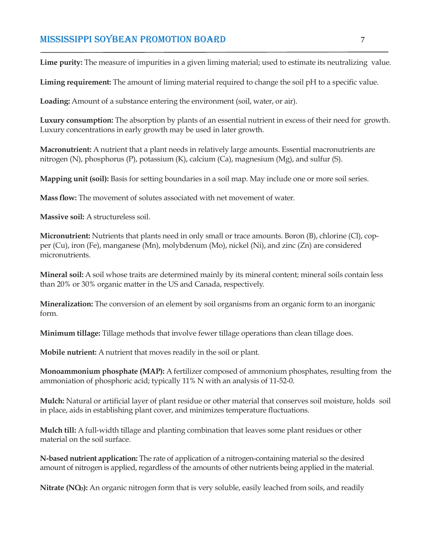**Lime purity:** The measure of impurities in a given liming material; used to estimate its neutralizing value.

**Liming requirement:** The amount of liming material required to change the soil pH to a specific value.

**Loading:** Amount of a substance entering the environment (soil, water, or air).

**Luxury consumption:** The absorption by plants of an essential nutrient in excess of their need for growth. Luxury concentrations in early growth may be used in later growth.

**Macronutrient:** A nutrient that a plant needs in relatively large amounts. Essential macronutrients are nitrogen (N), phosphorus (P), potassium (K), calcium (Ca), magnesium (Mg), and sulfur (S).

**Mapping unit (soil):** Basis for setting boundaries in a soil map. May include one or more soil series.

**Mass flow:** The movement of solutes associated with net movement of water.

**Massive soil:** A structureless soil.

**Micronutrient:** Nutrients that plants need in only small or trace amounts. Boron (B), chlorine (Cl), copper (Cu), iron (Fe), manganese (Mn), molybdenum (Mo), nickel (Ni), and zinc (Zn) are considered micronutrients.

**Mineral soil:** A soil whose traits are determined mainly by its mineral content; mineral soils contain less than 20% or 30% organic matter in the US and Canada, respectively.

**Mineralization:** The conversion of an element by soil organisms from an organic form to an inorganic form.

**Minimum tillage:** Tillage methods that involve fewer tillage operations than clean tillage does.

**Mobile nutrient:** A nutrient that moves readily in the soil or plant.

**Monoammonium phosphate (MAP):** A fertilizer composed of ammonium phosphates, resulting from the ammoniation of phosphoric acid; typically 11% N with an analysis of 11-52-0.

**Mulch:** Natural or artificial layer of plant residue or other material that conserves soil moisture, holds soil in place, aids in establishing plant cover, and minimizes temperature fluctuations.

**Mulch till:** A full-width tillage and planting combination that leaves some plant residues or other material on the soil surface.

**N-based nutrient application:** The rate of application of a nitrogen-containing material so the desired amount of nitrogen is applied, regardless of the amounts of other nutrients being applied in the material.

**3 Nitrate (NO3):** An organic nitrogen form that is very soluble, easily leached from soils, and readily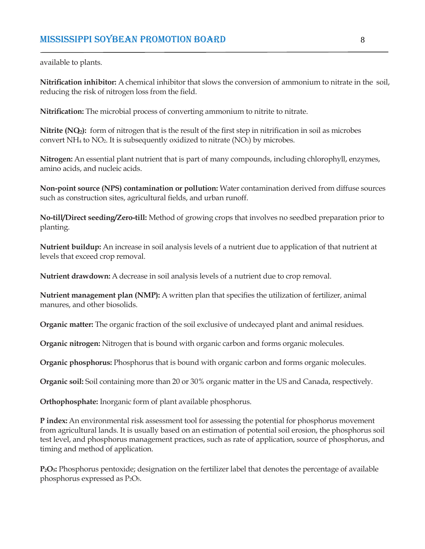available to plants.

**Nitrification inhibitor:** A chemical inhibitor that slows the conversion of ammonium to nitrate in the soil, reducing the risk of nitrogen loss from the field.

**Nitrification:** The microbial process of converting ammonium to nitrite to nitrate.

**2 Nitrite (NO2):** form of nitrogen that is the result of the first step in nitrification in soil as microbes convert NH<sub>4</sub> to NO<sub>2</sub>. It is subsequently oxidized to nitrate (NO<sub>3</sub>) by microbes.

**Nitrogen:** An essential plant nutrient that is part of many compounds, including chlorophyll, enzymes, amino acids, and nucleic acids.

**Non-point source (NPS) contamination or pollution:** Water contamination derived from diffuse sources such as construction sites, agricultural fields, and urban runoff.

**No-till/Direct seeding/Zero-till:** Method of growing crops that involves no seedbed preparation prior to planting.

**Nutrient buildup:** An increase in soil analysis levels of a nutrient due to application of that nutrient at levels that exceed crop removal.

**Nutrient drawdown:** A decrease in soil analysis levels of a nutrient due to crop removal.

**Nutrient management plan (NMP):** A written plan that specifies the utilization of fertilizer, animal manures, and other biosolids.

**Organic matter:** The organic fraction of the soil exclusive of undecayed plant and animal residues.

**Organic nitrogen:** Nitrogen that is bound with organic carbon and forms organic molecules.

**Organic phosphorus:** Phosphorus that is bound with organic carbon and forms organic molecules.

**Organic soil:** Soil containing more than 20 or 30% organic matter in the US and Canada, respectively.

**Orthophosphate:** Inorganic form of plant available phosphorus.

**P index:** An environmental risk assessment tool for assessing the potential for phosphorus movement from agricultural lands. It is usually based on an estimation of potential soil erosion, the phosphorus soil test level, and phosphorus management practices, such as rate of application, source of phosphorus, and timing and method of application.

**P2O5:** Phosphorus pentoxide; designation on the fertilizer label that denotes the percentage of available phosphorus expressed as  $P_2O_5$ .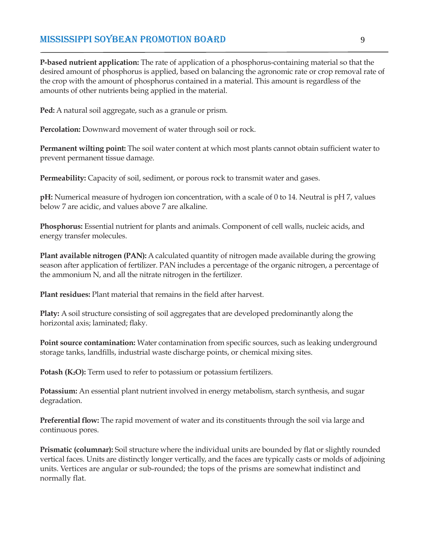**P-based nutrient application:** The rate of application of a phosphorus-containing material so that the desired amount of phosphorus is applied, based on balancing the agronomic rate or crop removal rate of the crop with the amount of phosphorus contained in a material. This amount is regardless of the amounts of other nutrients being applied in the material.

**Ped:** A natural soil aggregate, such as a granule or prism.

**Percolation:** Downward movement of water through soil or rock.

**Permanent wilting point:** The soil water content at which most plants cannot obtain sufficient water to prevent permanent tissue damage.

**Permeability:** Capacity of soil, sediment, or porous rock to transmit water and gases.

**pH:** Numerical measure of hydrogen ion concentration, with a scale of 0 to 14. Neutral is pH 7, values below 7 are acidic, and values above 7 are alkaline.

**Phosphorus:** Essential nutrient for plants and animals. Component of cell walls, nucleic acids, and energy transfer molecules.

**Plant available nitrogen (PAN):** A calculated quantity of nitrogen made available during the growing season after application of fertilizer. PAN includes a percentage of the organic nitrogen, a percentage of the ammonium N, and all the nitrate nitrogen in the fertilizer.

**Plant residues:** Plant material that remains in the field after harvest.

**Platy:** A soil structure consisting of soil aggregates that are developed predominantly along the horizontal axis; laminated; flaky.

**Point source contamination:** Water contamination from specific sources, such as leaking underground storage tanks, landfills, industrial waste discharge points, or chemical mixing sites.

**Potash (K2O):** Term used to refer to potassium or potassium fertilizers.

**Potassium:** An essential plant nutrient involved in energy metabolism, starch synthesis, and sugar degradation.

**Preferential flow:** The rapid movement of water and its constituents through the soil via large and continuous pores.

**Prismatic (columnar):** Soil structure where the individual units are bounded by flat or slightly rounded vertical faces. Units are distinctly longer vertically, and the faces are typically casts or molds of adjoining units. Vertices are angular or sub-rounded; the tops of the prisms are somewhat indistinct and normally flat.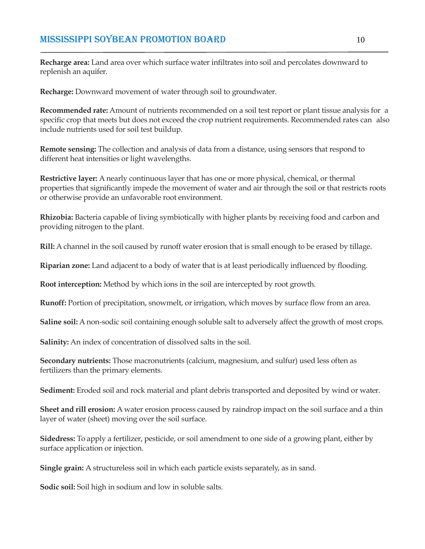**Recharge area:** Land area over which surface water infiltrates into soil and percolates downward to replenish an aquifer.

**Recharge:** Downward movement of water through soil to groundwater.

**Recommended rate:** Amount of nutrients recommended on a soil test report or plant tissue analysis for a specific crop that meets but does not exceed the crop nutrient requirements. Recommended rates can also include nutrients used for soil test buildup.

**Remote sensing:** The collection and analysis of data from a distance, using sensors that respond to different heat intensities or light wavelengths.

**Restrictive layer:** A nearly continuous layer that has one or more physical, chemical, or thermal properties that significantly impede the movement of water and air through the soil or that restricts roots or otherwise provide an unfavorable root environment.

**Rhizobia:** Bacteria capable of living symbiotically with higher plants by receiving food and carbon and providing nitrogen to the plant.

**Rill:** A channel in the soil caused by runoff water erosion that is small enough to be erased by tillage.

**Riparian zone:** Land adjacent to a body of water that is at least periodically influenced by flooding.

**Root interception:** Method by which ions in the soil are intercepted by root growth.

**Runoff:** Portion of precipitation, snowmelt, or irrigation, which moves by surface flow from an area.

**Saline soil:** A non-sodic soil containing enough soluble salt to adversely affect the growth of most crops.

**Salinity:** An index of concentration of dissolved salts in the soil.

**Secondary nutrients:** Those macronutrients (calcium, magnesium, and sulfur) used less often as fertilizers than the primary elements.

**Sediment:** Eroded soil and rock material and plant debris transported and deposited by wind or water.

**Sheet and rill erosion:** A water erosion process caused by raindrop impact on the soil surface and a thin layer of water (sheet) moving over the soil surface.

**Sidedress:** To apply a fertilizer, pesticide, or soil amendment to one side of a growing plant, either by surface application or injection.

**Single grain:** A structureless soil in which each particle exists separately, as in sand.

**Sodic soil:** Soil high in sodium and low in soluble salts.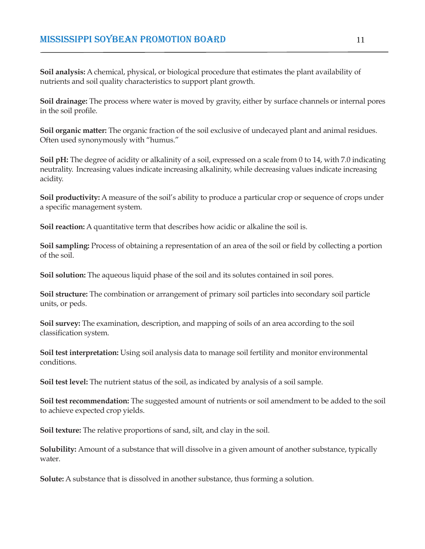**Soil analysis:** A chemical, physical, or biological procedure that estimates the plant availability of nutrients and soil quality characteristics to support plant growth.

**Soil drainage:** The process where water is moved by gravity, either by surface channels or internal pores in the soil profile.

**Soil organic matter:** The organic fraction of the soil exclusive of undecayed plant and animal residues. Often used synonymously with "humus."

**Soil pH:** The degree of acidity or alkalinity of a soil, expressed on a scale from 0 to 14, with 7.0 indicating neutrality. Increasing values indicate increasing alkalinity, while decreasing values indicate increasing acidity.

**Soil productivity:** A measure of the soil's ability to produce a particular crop or sequence of crops under a specific management system.

**Soil reaction:** A quantitative term that describes how acidic or alkaline the soil is.

**Soil sampling:** Process of obtaining a representation of an area of the soil or field by collecting a portion of the soil.

**Soil solution:** The aqueous liquid phase of the soil and its solutes contained in soil pores.

**Soil structure:** The combination or arrangement of primary soil particles into secondary soil particle units, or peds.

**Soil survey:** The examination, description, and mapping of soils of an area according to the soil classification system.

**Soil test interpretation:** Using soil analysis data to manage soil fertility and monitor environmental conditions.

**Soil test level:** The nutrient status of the soil, as indicated by analysis of a soil sample.

**Soil test recommendation:** The suggested amount of nutrients or soil amendment to be added to the soil to achieve expected crop yields.

**Soil texture:** The relative proportions of sand, silt, and clay in the soil.

**Solubility:** Amount of a substance that will dissolve in a given amount of another substance, typically water.

**Solute:** A substance that is dissolved in another substance, thus forming a solution.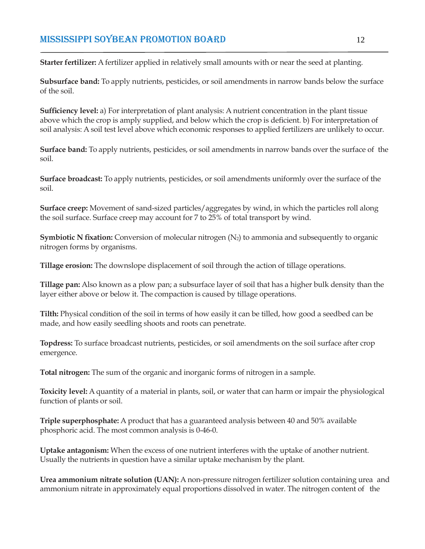**Starter fertilizer:** A fertilizer applied in relatively small amounts with or near the seed at planting.

**Subsurface band:** To apply nutrients, pesticides, or soil amendments in narrow bands below the surface of the soil.

**Sufficiency level:** a) For interpretation of plant analysis: A nutrient concentration in the plant tissue above which the crop is amply supplied, and below which the crop is deficient. b) For interpretation of soil analysis: A soil test level above which economic responses to applied fertilizers are unlikely to occur.

**Surface band:** To apply nutrients, pesticides, or soil amendments in narrow bands over the surface of the soil.

**Surface broadcast:** To apply nutrients, pesticides, or soil amendments uniformly over the surface of the soil.

**Surface creep:** Movement of sand-sized particles/aggregates by wind, in which the particles roll along the soil surface. Surface creep may account for 7 to 25% of total transport by wind.

**Symbiotic N fixation:** Conversion of molecular nitrogen (N<sub>2</sub>) to ammonia and subsequently to organic nitrogen forms by organisms.

**Tillage erosion:** The downslope displacement of soil through the action of tillage operations.

**Tillage pan:** Also known as a plow pan; a subsurface layer of soil that has a higher bulk density than the layer either above or below it. The compaction is caused by tillage operations.

**Tilth:** Physical condition of the soil in terms of how easily it can be tilled, how good a seedbed can be made, and how easily seedling shoots and roots can penetrate.

**Topdress:** To surface broadcast nutrients, pesticides, or soil amendments on the soil surface after crop emergence.

**Total nitrogen:** The sum of the organic and inorganic forms of nitrogen in a sample.

**Toxicity level:** A quantity of a material in plants, soil, or water that can harm or impair the physiological function of plants or soil.

**Triple superphosphate:** A product that has a guaranteed analysis between 40 and 50% available phosphoric acid. The most common analysis is 0-46-0.

**Uptake antagonism:** When the excess of one nutrient interferes with the uptake of another nutrient. Usually the nutrients in question have a similar uptake mechanism by the plant.

**Urea ammonium nitrate solution (UAN):** A non-pressure nitrogen fertilizer solution containing urea and ammonium nitrate in approximately equal proportions dissolved in water. The nitrogen content of the